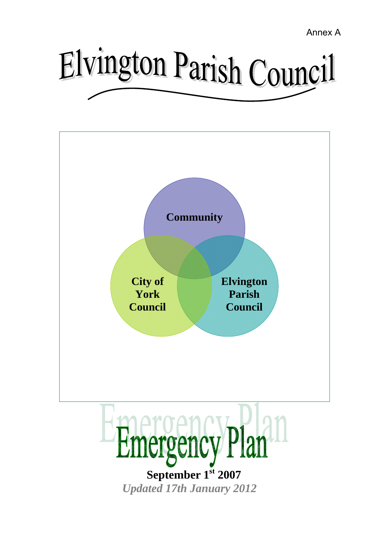Annex A

# Elvington Parish Council

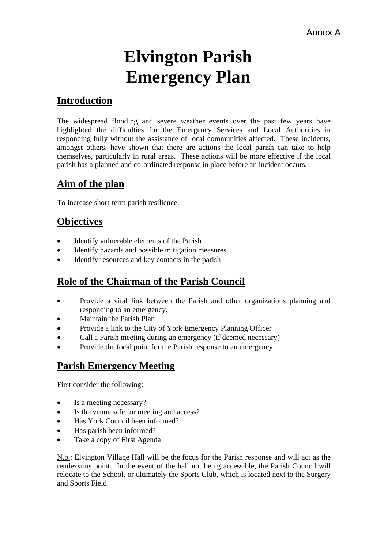# **Elvington Parish Emergency Plan**

# **Introduction**

The widespread flooding and severe weather events over the past few years have highlighted the difficulties for the Emergency Services and Local Authorities in responding fully without the assistance of local communities affected. These incidents, amongst others, have shown that there are actions the local parish can take to help themselves, particularly in rural areas. These actions will be more effective if the local parish has a planned and co-ordinated response in place before an incident occurs.

# **Aim of the plan**

To increase short-term parish resilience.

# **Objectives**

- Identify vulnerable elements of the Parish
- Identify hazards and possible mitigation measures
- Identify resources and key contacts in the parish

## **Role of the Chairman of the Parish Council**

- Provide a vital link between the Parish and other organizations planning and responding to an emergency.
- Maintain the Parish Plan
- Provide a link to the City of York Emergency Planning Officer
- Call a Parish meeting during an emergency (if deemed necessary)
- Provide the focal point for the Parish response to an emergency

## **Parish Emergency Meeting**

First consider the following:

- Is a meeting necessary?
- Is the venue safe for meeting and access?
- Has York Council been informed?
- Has parish been informed?
- Take a copy of First Agenda

N.b.: Elvington Village Hall will be the focus for the Parish response and will act as the rendezvous point. In the event of the hall not being accessible, the Parish Council will relocate to the School, or ultimately the Sports Club, which is located next to the Surgery and Sports Field.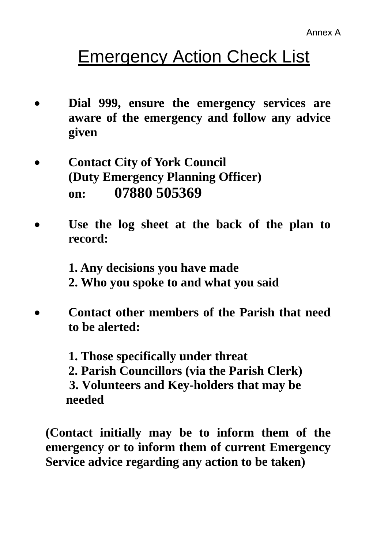# **Emergency Action Check List**

- **Dial 999, ensure the emergency services are aware of the emergency and follow any advice given**
- **Contact City of York Council (Duty Emergency Planning Officer) on: 07880 505369**
- Use the log sheet at the back of the plan to **record:**

**1. Any decisions you have made 2. Who you spoke to and what you said** 

• **Contact other members of the Parish that need to be alerted:** 

> **1. Those specifically under threat 2. Parish Councillors (via the Parish Clerk) 3. Volunteers and Key-holders that may be needed**

**(Contact initially may be to inform them of the emergency or to inform them of current Emergency Service advice regarding any action to be taken)**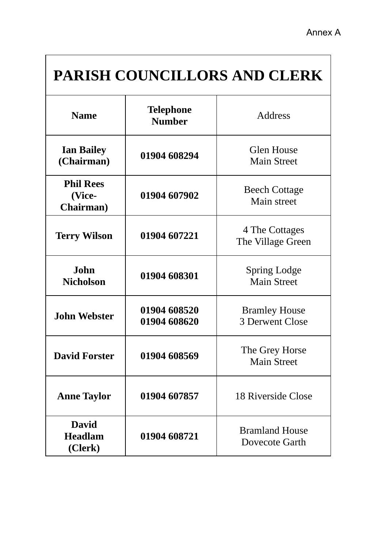# **PARISH COUNCILLORS AND CLERK**

| <b>Name</b>                               | <b>Telephone</b><br><b>Number</b> | Address                                 |
|-------------------------------------------|-----------------------------------|-----------------------------------------|
| <b>Ian Bailey</b><br>(Chairman)           | 01904 608294                      | <b>Glen House</b><br><b>Main Street</b> |
| <b>Phil Rees</b><br>(Vice-<br>Chairman)   | 01904 607902                      | <b>Beech Cottage</b><br>Main street     |
| <b>Terry Wilson</b>                       | 01904 607221                      | 4 The Cottages<br>The Village Green     |
| <b>John</b><br><b>Nicholson</b>           | 01904 608301                      | Spring Lodge<br><b>Main Street</b>      |
| <b>John Webster</b>                       | 01904 608520<br>01904 608620      | <b>Bramley House</b><br>3 Derwent Close |
| <b>David Forster</b>                      | 01904 608569                      | The Grey Horse<br><b>Main Street</b>    |
| <b>Anne Taylor</b>                        | 01904 607857                      | 18 Riverside Close                      |
| <b>David</b><br><b>Headlam</b><br>(Clerk) | 01904 608721                      | <b>Bramland House</b><br>Dovecote Garth |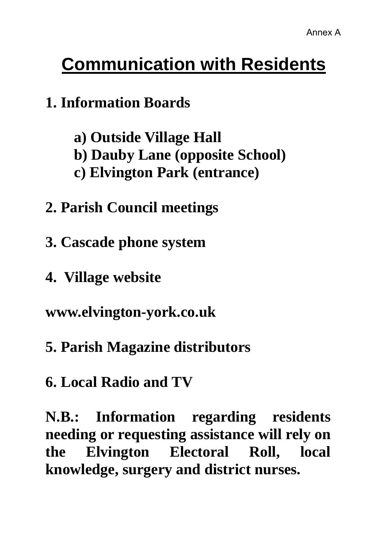# **Communication with Residents**

# **1. Information Boards**

- **a) Outside Village Hall**
- **b) Dauby Lane (opposite School)**
- **c) Elvington Park (entrance)**
- **2. Parish Council meetings**
- **3. Cascade phone system**
- **4. Village website**

**www.elvington-york.co.uk** 

- **5. Parish Magazine distributors**
- **6. Local Radio and TV**

**N.B.: Information regarding residents needing or requesting assistance will rely on the Elvington Electoral Roll, local knowledge, surgery and district nurses.**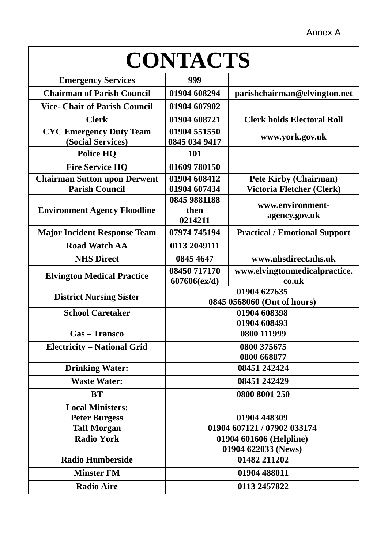| <b>CONTACTS</b>                                              |                                                |                                                           |  |  |
|--------------------------------------------------------------|------------------------------------------------|-----------------------------------------------------------|--|--|
| <b>Emergency Services</b>                                    | 999                                            |                                                           |  |  |
| <b>Chairman of Parish Council</b>                            | 01904 608294                                   | parishchairman@elvington.net                              |  |  |
| <b>Vice- Chair of Parish Council</b>                         | 01904 607902                                   |                                                           |  |  |
| <b>Clerk</b>                                                 | 01904 608721                                   | <b>Clerk holds Electoral Roll</b>                         |  |  |
| <b>CYC Emergency Duty Team</b><br>(Social Services)          | 01904 551550<br>0845 034 9417                  | www.york.gov.uk                                           |  |  |
| <b>Police HQ</b>                                             | 101                                            |                                                           |  |  |
| <b>Fire Service HQ</b>                                       | 01609 780150                                   |                                                           |  |  |
| <b>Chairman Sutton upon Derwent</b><br><b>Parish Council</b> | 01904 608412<br>01904 607434                   | <b>Pete Kirby (Chairman)</b><br>Victoria Fletcher (Clerk) |  |  |
| <b>Environment Agency Floodline</b>                          | 0845 9881188<br>then<br>0214211                | www.environment-<br>agency.gov.uk                         |  |  |
| <b>Major Incident Response Team</b>                          | 07974 745194                                   | <b>Practical / Emotional Support</b>                      |  |  |
| <b>Road Watch AA</b>                                         | 0113 2049111                                   |                                                           |  |  |
| <b>NHS Direct</b>                                            | 0845 4647                                      | www.nhsdirect.nhs.uk                                      |  |  |
| <b>Elvington Medical Practice</b>                            | 08450 717170<br>607606(ex/d)                   | www.elvingtonmedicalpractice.<br>co.uk                    |  |  |
| <b>District Nursing Sister</b>                               | 01904 627635<br>0845 0568060 (Out of hours)    |                                                           |  |  |
| <b>School Caretaker</b>                                      |                                                | 01904 608398<br>01904 608493                              |  |  |
| <b>Gas-Transco</b>                                           |                                                | 0800 111999                                               |  |  |
| <b>Electricity – National Grid</b>                           |                                                | 0800 375675                                               |  |  |
|                                                              |                                                | 0800 668877                                               |  |  |
| <b>Drinking Water:</b>                                       |                                                | 08451 242424                                              |  |  |
| <b>Waste Water:</b>                                          |                                                | 08451 242429                                              |  |  |
| <b>BT</b>                                                    | 0800 8001 250                                  |                                                           |  |  |
| <b>Local Ministers:</b>                                      |                                                |                                                           |  |  |
| <b>Peter Burgess</b>                                         | 01904 448309                                   |                                                           |  |  |
| <b>Taff Morgan</b><br><b>Radio York</b>                      | 01904 607121 / 07902 033174                    |                                                           |  |  |
|                                                              | 01904 601606 (Helpline)<br>01904 622033 (News) |                                                           |  |  |
| <b>Radio Humberside</b>                                      |                                                | 01482 211202                                              |  |  |
| <b>Minster FM</b>                                            | 01904 488011                                   |                                                           |  |  |
| <b>Radio Aire</b>                                            | 0113 2457822                                   |                                                           |  |  |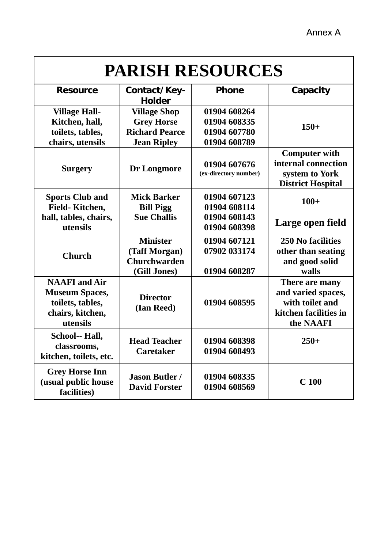# **PARISH RESOURCES**

| <b>Resource</b>                                                                                   | Contact/Key-<br><b>Holder</b>                                                           | <b>Phone</b>                                                 | Capacity                                                                                      |
|---------------------------------------------------------------------------------------------------|-----------------------------------------------------------------------------------------|--------------------------------------------------------------|-----------------------------------------------------------------------------------------------|
| <b>Village Hall-</b><br>Kitchen, hall,<br>toilets, tables,<br>chairs, utensils                    | <b>Village Shop</b><br><b>Grey Horse</b><br><b>Richard Pearce</b><br><b>Jean Ripley</b> | 01904 608264<br>01904 608335<br>01904 607780<br>01904 608789 | $150+$                                                                                        |
| <b>Surgery</b>                                                                                    | Dr Longmore                                                                             | 01904 607676<br>(ex-directory number)                        | <b>Computer with</b><br>internal connection<br>system to York<br><b>District Hospital</b>     |
| <b>Sports Club and</b><br>Field-Kitchen,                                                          | <b>Mick Barker</b><br><b>Bill Pigg</b>                                                  | 01904 607123<br>01904 608114                                 | $100+$                                                                                        |
| hall, tables, chairs,<br>utensils                                                                 | <b>Sue Challis</b>                                                                      | 01904 608143<br>01904 608398                                 | Large open field                                                                              |
| <b>Church</b>                                                                                     | <b>Minister</b><br>(Taff Morgan)<br><b>Churchwarden</b><br>(Gill Jones)                 | 01904 607121<br>07902 033174<br>01904 608287                 | <b>250 No facilities</b><br>other than seating<br>and good solid<br>walls                     |
| <b>NAAFI</b> and Air<br><b>Museum Spaces,</b><br>toilets, tables,<br>chairs, kitchen,<br>utensils | <b>Director</b><br>(Ian Reed)                                                           | 01904 608595                                                 | There are many<br>and varied spaces,<br>with toilet and<br>kitchen facilities in<br>the NAAFI |
| School-- Hall,<br>classrooms,<br>kitchen, toilets, etc.                                           | <b>Head Teacher</b><br><b>Caretaker</b>                                                 | 01904 608398<br>01904 608493                                 | $250+$                                                                                        |
| <b>Grey Horse Inn</b><br>(usual public house<br>facilities)                                       | <b>Jason Butler /</b><br><b>David Forster</b>                                           | 01904 608335<br>01904 608569                                 | C <sub>100</sub>                                                                              |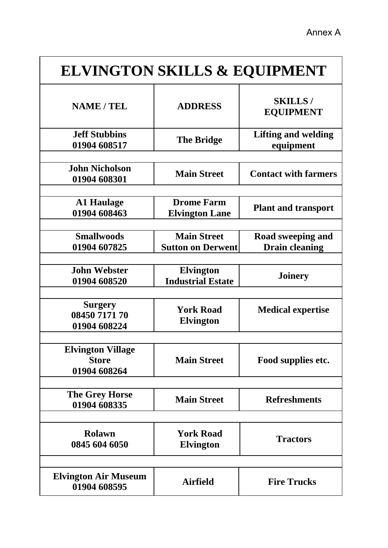| <b>ELVINGTON SKILLS &amp; EQUIPMENT</b>                  |                                                |                                            |  |  |
|----------------------------------------------------------|------------------------------------------------|--------------------------------------------|--|--|
| <b>NAME / TEL</b>                                        | <b>ADDRESS</b>                                 | <b>SKILLS/</b><br><b>EQUIPMENT</b>         |  |  |
| <b>Jeff Stubbins</b><br>01904 608517                     | <b>The Bridge</b>                              | <b>Lifting and welding</b><br>equipment    |  |  |
|                                                          |                                                |                                            |  |  |
| <b>John Nicholson</b><br>01904 608301                    | <b>Main Street</b>                             | <b>Contact with farmers</b>                |  |  |
|                                                          |                                                |                                            |  |  |
| <b>A1 Haulage</b><br>01904 608463                        | <b>Drome Farm</b><br><b>Elvington Lane</b>     | <b>Plant and transport</b>                 |  |  |
|                                                          |                                                |                                            |  |  |
| <b>Smallwoods</b><br>01904 607825                        | <b>Main Street</b><br><b>Sutton on Derwent</b> | Road sweeping and<br><b>Drain cleaning</b> |  |  |
|                                                          |                                                |                                            |  |  |
| <b>John Webster</b><br>01904 608520                      | <b>Elvington</b><br><b>Industrial Estate</b>   | <b>Joinery</b>                             |  |  |
|                                                          |                                                |                                            |  |  |
| <b>Surgery</b><br>08450 7171 70<br>01904 608224          | <b>York Road</b><br><b>Elvington</b>           | <b>Medical expertise</b>                   |  |  |
|                                                          |                                                |                                            |  |  |
| <b>Elvington Village</b><br><b>Store</b><br>01904 608264 | <b>Main Street</b>                             | Food supplies etc.                         |  |  |
|                                                          |                                                |                                            |  |  |
| The Grey Horse<br>01904 608335                           | <b>Main Street</b>                             | <b>Refreshments</b>                        |  |  |
|                                                          |                                                |                                            |  |  |
| <b>Rolawn</b><br>0845 604 6050                           | <b>York Road</b><br><b>Elvington</b>           | <b>Tractors</b>                            |  |  |
|                                                          |                                                |                                            |  |  |
| <b>Elvington Air Museum</b><br>01904 608595              | <b>Airfield</b>                                | <b>Fire Trucks</b>                         |  |  |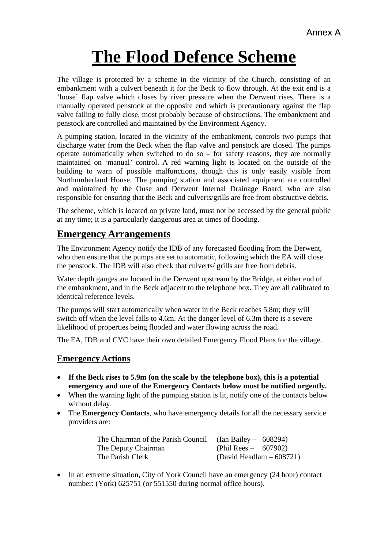# **The Flood Defence Scheme**

The village is protected by a scheme in the vicinity of the Church, consisting of an embankment with a culvert beneath it for the Beck to flow through. At the exit end is a 'loose' flap valve which closes by river pressure when the Derwent rises. There is a manually operated penstock at the opposite end which is precautionary against the flap valve failing to fully close, most probably because of obstructions. The embankment and penstock are controlled and maintained by the Environment Agency.

A pumping station, located in the vicinity of the embankment, controls two pumps that discharge water from the Beck when the flap valve and penstock are closed. The pumps operate automatically when switched to do so – for safety reasons, they are normally maintained on 'manual' control. A red warning light is located on the outside of the building to warn of possible malfunctions, though this is only easily visible from Northumberland House. The pumping station and associated equipment are controlled and maintained by the Ouse and Derwent Internal Drainage Board, who are also responsible for ensuring that the Beck and culverts/grills are free from obstructive debris.

The scheme, which is located on private land, must not be accessed by the general public at any time; it is a particularly dangerous area at times of flooding.

## **Emergency Arrangements**

The Environment Agency notify the IDB of any forecasted flooding from the Derwent, who then ensure that the pumps are set to automatic, following which the EA will close the penstock. The IDB will also check that culverts/ grills are free from debris.

Water depth gauges are located in the Derwent upstream by the Bridge, at either end of the embankment, and in the Beck adjacent to the telephone box. They are all calibrated to identical reference levels.

The pumps will start automatically when water in the Beck reaches 5.8m; they will switch off when the level falls to 4.6m. At the danger level of 6.3m there is a severe likelihood of properties being flooded and water flowing across the road.

The EA, IDB and CYC have their own detailed Emergency Flood Plans for the village.

#### **Emergency Actions**

- **If the Beck rises to 5.9m (on the scale by the telephone box), this is a potential emergency and one of the Emergency Contacts below must be notified urgently.**
- When the warning light of the pumping station is lit, notify one of the contacts below without delay.
- The **Emergency Contacts**, who have emergency details for all the necessary service providers are:

| The Chairman of the Parish Council (Ian Bailey $-608294$ ) |                            |
|------------------------------------------------------------|----------------------------|
| The Deputy Chairman                                        | (Phil Rees – 607902)       |
| The Parish Clerk                                           | (David Headlam $-608721$ ) |

• In an extreme situation, City of York Council have an emergency (24 hour) contact number: (York) 625751 (or 551550 during normal office hours).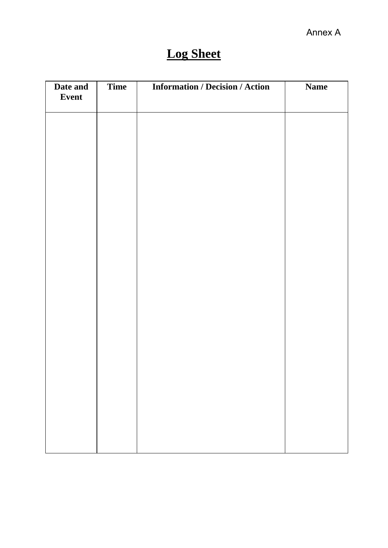# **Log Sheet**

| Date and<br>Event | Time | <b>Information / Decision / Action</b> | <b>Name</b> |
|-------------------|------|----------------------------------------|-------------|
|                   |      |                                        |             |
|                   |      |                                        |             |
|                   |      |                                        |             |
|                   |      |                                        |             |
|                   |      |                                        |             |
|                   |      |                                        |             |
|                   |      |                                        |             |
|                   |      |                                        |             |
|                   |      |                                        |             |
|                   |      |                                        |             |
|                   |      |                                        |             |
|                   |      |                                        |             |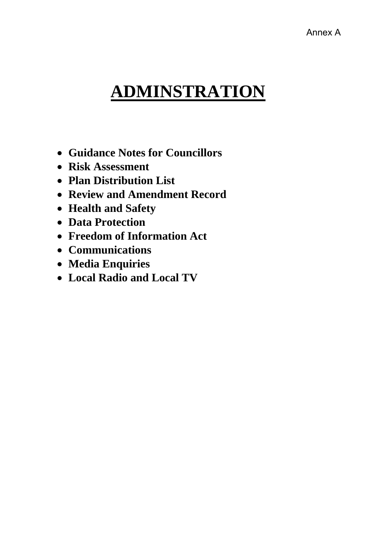# **ADMINSTRATION**

- **Guidance Notes for Councillors**
- **Risk Assessment**
- **Plan Distribution List**
- **Review and Amendment Record**
- **Health and Safety**
- **Data Protection**
- **Freedom of Information Act**
- **Communications**
- **Media Enquiries**
- **Local Radio and Local TV**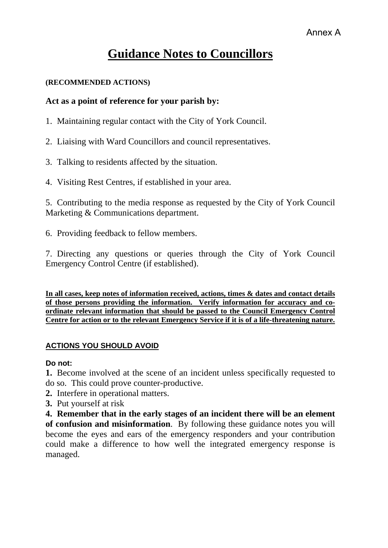# **Guidance Notes to Councillors**

#### **(RECOMMENDED ACTIONS)**

### **Act as a point of reference for your parish by:**

- 1. Maintaining regular contact with the City of York Council.
- 2. Liaising with Ward Councillors and council representatives.
- 3. Talking to residents affected by the situation.
- 4. Visiting Rest Centres, if established in your area.

5. Contributing to the media response as requested by the City of York Council Marketing & Communications department.

6. Providing feedback to fellow members.

7. Directing any questions or queries through the City of York Council Emergency Control Centre (if established).

**In all cases, keep notes of information received, actions, times & dates and contact details of those persons providing the information. Verify information for accuracy and coordinate relevant information that should be passed to the Council Emergency Control Centre for action or to the relevant Emergency Service if it is of a life-threatening nature.**

### **ACTIONS YOU SHOULD AVOID**

**Do not:** 

**1.** Become involved at the scene of an incident unless specifically requested to do so. This could prove counter-productive.

- **2.** Interfere in operational matters.
- **3.** Put yourself at risk

**4. Remember that in the early stages of an incident there will be an element of confusion and misinformation**. By following these guidance notes you will become the eyes and ears of the emergency responders and your contribution could make a difference to how well the integrated emergency response is managed.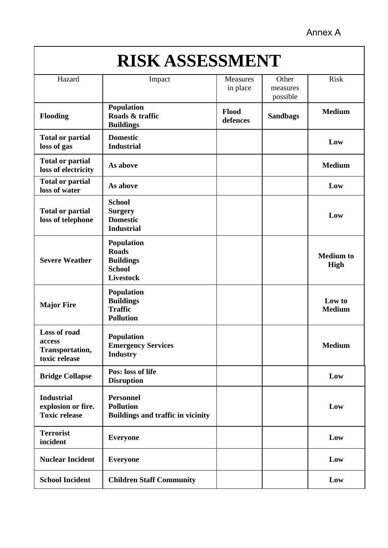Annex A

# **RISK ASSESSMENT**

| Hazard                                                          | Impact                                                                              | Measures<br>in place | Other<br>measures<br>possible | <b>Risk</b>              |  |
|-----------------------------------------------------------------|-------------------------------------------------------------------------------------|----------------------|-------------------------------|--------------------------|--|
| <b>Flooding</b>                                                 | <b>Population</b><br>Roads & traffic<br><b>Buildings</b>                            | Flood<br>defences    | <b>Sandbags</b>               | <b>Medium</b>            |  |
| <b>Total or partial</b><br>loss of gas                          | <b>Domestic</b><br><b>Industrial</b>                                                |                      |                               | Low                      |  |
| <b>Total or partial</b><br>loss of electricity                  | As above                                                                            |                      |                               | <b>Medium</b>            |  |
| <b>Total or partial</b><br>loss of water                        | As above                                                                            |                      |                               | Low                      |  |
| <b>Total or partial</b><br>loss of telephone                    | <b>School</b><br><b>Surgery</b><br><b>Domestic</b><br><b>Industrial</b>             |                      |                               | Low                      |  |
| <b>Severe Weather</b>                                           | Population<br><b>Roads</b><br><b>Buildings</b><br><b>School</b><br><b>Livestock</b> |                      |                               | <b>Medium</b> to<br>High |  |
| <b>Major Fire</b>                                               | <b>Population</b><br><b>Buildings</b><br><b>Traffic</b><br><b>Pollution</b>         |                      |                               | Low to<br><b>Medium</b>  |  |
| Loss of road<br>access<br>Transportation,<br>toxic release      | <b>Population</b><br><b>Emergency Services</b><br><b>Industry</b>                   |                      |                               | <b>Medium</b>            |  |
| <b>Bridge Collapse</b>                                          | Pos: loss of life<br><b>Disruption</b>                                              |                      |                               | Low                      |  |
| <b>Industrial</b><br>explosion or fire.<br><b>Toxic release</b> | <b>Personnel</b><br><b>Pollution</b><br><b>Buildings and traffic in vicinity</b>    |                      |                               | Low                      |  |
| <b>Terrorist</b><br>incident                                    | <b>Everyone</b>                                                                     |                      |                               | Low                      |  |
| <b>Nuclear Incident</b>                                         | <b>Everyone</b>                                                                     |                      |                               | Low                      |  |
| <b>School Incident</b>                                          | <b>Children Staff Community</b>                                                     |                      |                               | Low                      |  |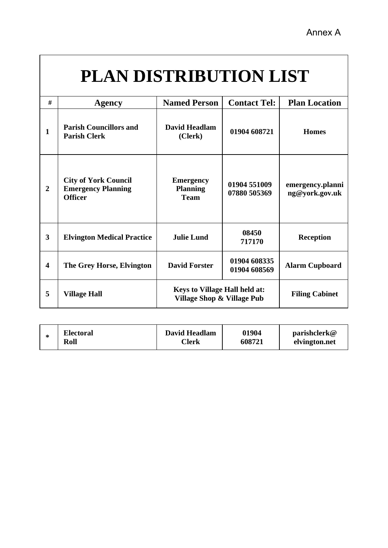# **PLAN DISTRIBUTION LIST**

| #                       | <b>Agency</b>                                                              | <b>Named Person</b>                                                | <b>Contact Tel:</b>          | <b>Plan Location</b>               |  |  |
|-------------------------|----------------------------------------------------------------------------|--------------------------------------------------------------------|------------------------------|------------------------------------|--|--|
| 1                       | <b>Parish Councillors and</b><br><b>Parish Clerk</b>                       | <b>David Headlam</b><br>(Clerk)                                    | 01904 608721                 | <b>Homes</b>                       |  |  |
| $\overline{2}$          | <b>City of York Council</b><br><b>Emergency Planning</b><br><b>Officer</b> | <b>Emergency</b><br><b>Planning</b><br><b>Team</b>                 | 01904 551009<br>07880 505369 | emergency.planni<br>ng@york.gov.uk |  |  |
| $\overline{\mathbf{3}}$ | <b>Elvington Medical Practice</b>                                          | <b>Julie Lund</b>                                                  | 08450<br>717170              | <b>Reception</b>                   |  |  |
| $\overline{\mathbf{4}}$ | The Grey Horse, Elvington                                                  | <b>David Forster</b>                                               | 01904 608335<br>01904 608569 | <b>Alarm Cupboard</b>              |  |  |
| 5                       | <b>Village Hall</b>                                                        | <b>Keys to Village Hall held at:</b><br>Village Shop & Village Pub |                              | <b>Filing Cabinet</b>              |  |  |

| ∗ | <b>Electoral</b> | David Headlam | 01904  | parishclerk@  |
|---|------------------|---------------|--------|---------------|
|   | Roll             | <b>Clerk</b>  | 608721 | elvington.net |
|   |                  |               |        |               |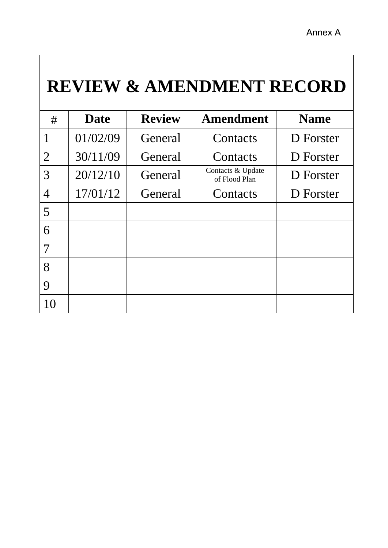# **REVIEW & AMENDMENT RECORD**

| #                | <b>Date</b> | <b>Review</b> | <b>Amendment</b>                   | <b>Name</b> |
|------------------|-------------|---------------|------------------------------------|-------------|
|                  | 01/02/09    | General       | Contacts                           | D Forster   |
| $\overline{2}$   | 30/11/09    | General       | Contacts                           | D Forster   |
| 3                | 20/12/10    | General       | Contacts & Update<br>of Flood Plan | D Forster   |
| $\overline{4}$   | 17/01/12    | General       | Contacts                           | D Forster   |
| 5                |             |               |                                    |             |
| 6                |             |               |                                    |             |
| 7                |             |               |                                    |             |
| 8                |             |               |                                    |             |
| $\boldsymbol{Q}$ |             |               |                                    |             |
|                  |             |               |                                    |             |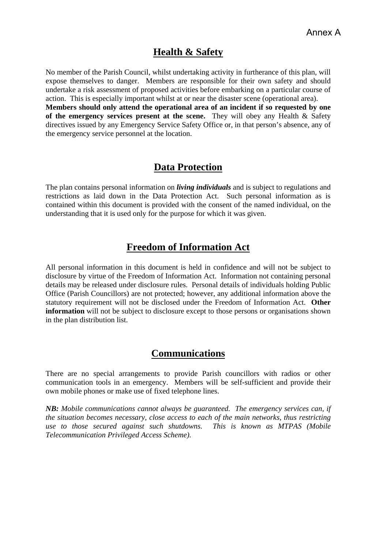## **Health & Safety**

No member of the Parish Council, whilst undertaking activity in furtherance of this plan, will expose themselves to danger. Members are responsible for their own safety and should undertake a risk assessment of proposed activities before embarking on a particular course of action. This is especially important whilst at or near the disaster scene (operational area). **Members should only attend the operational area of an incident if so requested by one of the emergency services present at the scene.** They will obey any Health & Safety directives issued by any Emergency Service Safety Office or, in that person's absence, any of

## **Data Protection**

the emergency service personnel at the location.

The plan contains personal information on *living individuals* and is subject to regulations and restrictions as laid down in the Data Protection Act. Such personal information as is contained within this document is provided with the consent of the named individual, on the understanding that it is used only for the purpose for which it was given.

## **Freedom of Information Act**

All personal information in this document is held in confidence and will not be subject to disclosure by virtue of the Freedom of Information Act. Information not containing personal details may be released under disclosure rules. Personal details of individuals holding Public Office (Parish Councillors) are not protected; however, any additional information above the statutory requirement will not be disclosed under the Freedom of Information Act. **Other information** will not be subject to disclosure except to those persons or organisations shown in the plan distribution list.

## **Communications**

There are no special arrangements to provide Parish councillors with radios or other communication tools in an emergency. Members will be self-sufficient and provide their own mobile phones or make use of fixed telephone lines.

*NB: Mobile communications cannot always be guaranteed. The emergency services can, if the situation becomes necessary, close access to each of the main networks, thus restricting use to those secured against such shutdowns. This is known as MTPAS (Mobile Telecommunication Privileged Access Scheme).*